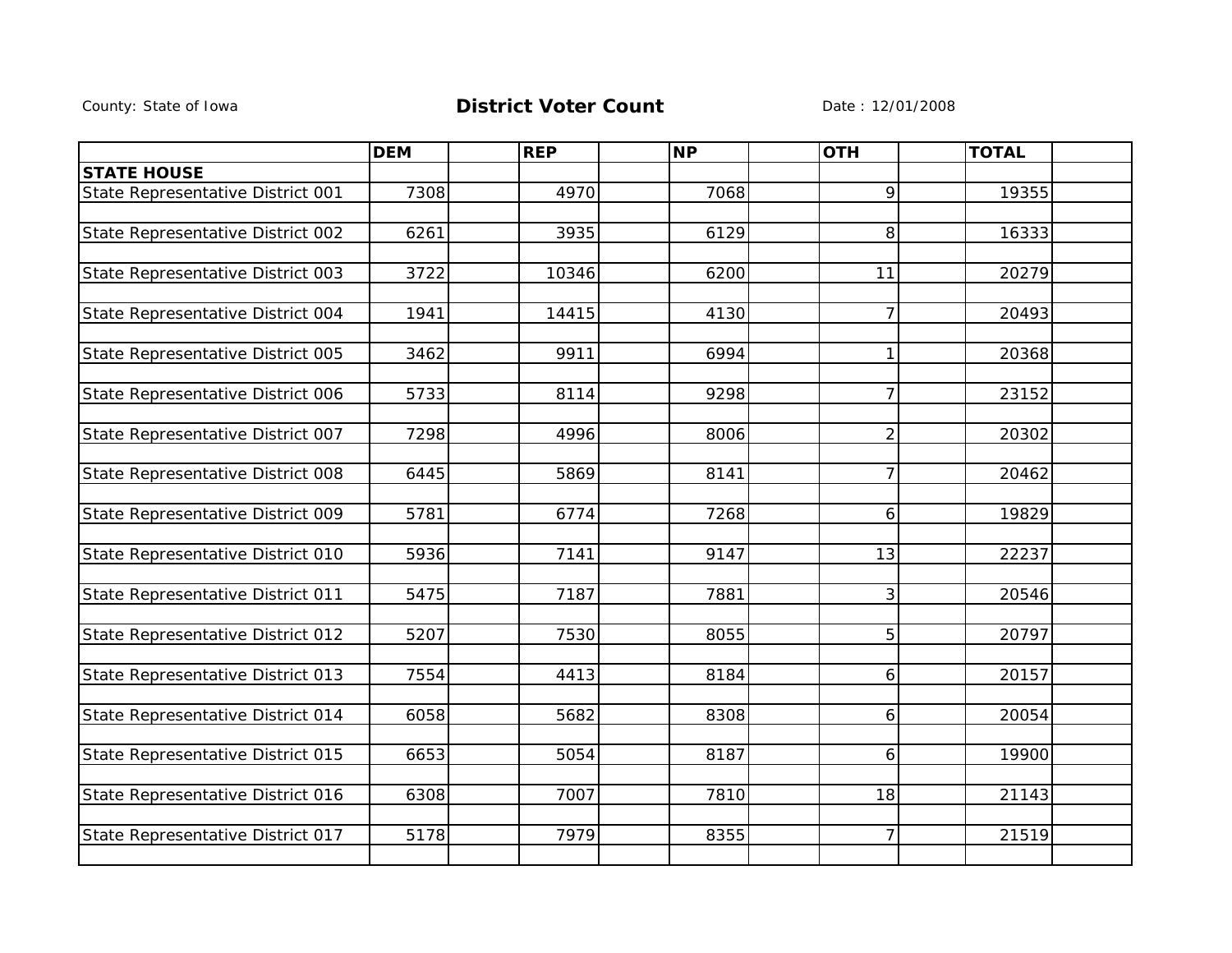## County: State of Iowa **District Voter Count** Date : 12/01/2008

|                                   | <b>DEM</b> | <b>REP</b> | <b>NP</b> | <b>OTH</b>     | <b>TOTAL</b> |  |
|-----------------------------------|------------|------------|-----------|----------------|--------------|--|
| <b>STATE HOUSE</b>                |            |            |           |                |              |  |
| State Representative District 001 | 7308       | 4970       | 7068      | 9              | 19355        |  |
|                                   |            |            |           |                |              |  |
| State Representative District 002 | 6261       | 3935       | 6129      | 8              | 16333        |  |
|                                   |            |            |           |                |              |  |
| State Representative District 003 | 3722       | 10346      | 6200      | 11             | 20279        |  |
|                                   |            |            |           |                |              |  |
| State Representative District 004 | 1941       | 14415      | 4130      | $\overline{7}$ | 20493        |  |
|                                   |            |            |           |                |              |  |
| State Representative District 005 | 3462       | 9911       | 6994      | 1              | 20368        |  |
|                                   |            |            |           |                |              |  |
| State Representative District 006 | 5733       | 8114       | 9298      | $\overline{7}$ | 23152        |  |
|                                   |            |            |           |                |              |  |
| State Representative District 007 | 7298       | 4996       | 8006      | $\overline{2}$ | 20302        |  |
|                                   |            |            |           |                |              |  |
| State Representative District 008 | 6445       | 5869       | 8141      | 7              | 20462        |  |
|                                   |            |            |           |                |              |  |
| State Representative District 009 | 5781       | 6774       | 7268      | 6              | 19829        |  |
|                                   |            |            |           |                |              |  |
| State Representative District 010 | 5936       | 7141       | 9147      | 13             | 22237        |  |
|                                   |            |            |           |                |              |  |
| State Representative District 011 | 5475       | 7187       | 7881      | 3              | 20546        |  |
|                                   |            |            |           |                |              |  |
| State Representative District 012 | 5207       | 7530       | 8055      | 5              | 20797        |  |
|                                   |            |            |           |                |              |  |
| State Representative District 013 | 7554       | 4413       | 8184      | 6              | 20157        |  |
|                                   |            |            |           |                |              |  |
| State Representative District 014 | 6058       | 5682       | 8308      | 6              | 20054        |  |
|                                   |            |            |           |                |              |  |
| State Representative District 015 | 6653       | 5054       | 8187      | 6              | 19900        |  |
|                                   | 6308       | 7007       | 7810      | 18             | 21143        |  |
| State Representative District 016 |            |            |           |                |              |  |
| State Representative District 017 | 5178       | 7979       | 8355      | $\overline{7}$ | 21519        |  |
|                                   |            |            |           |                |              |  |
|                                   |            |            |           |                |              |  |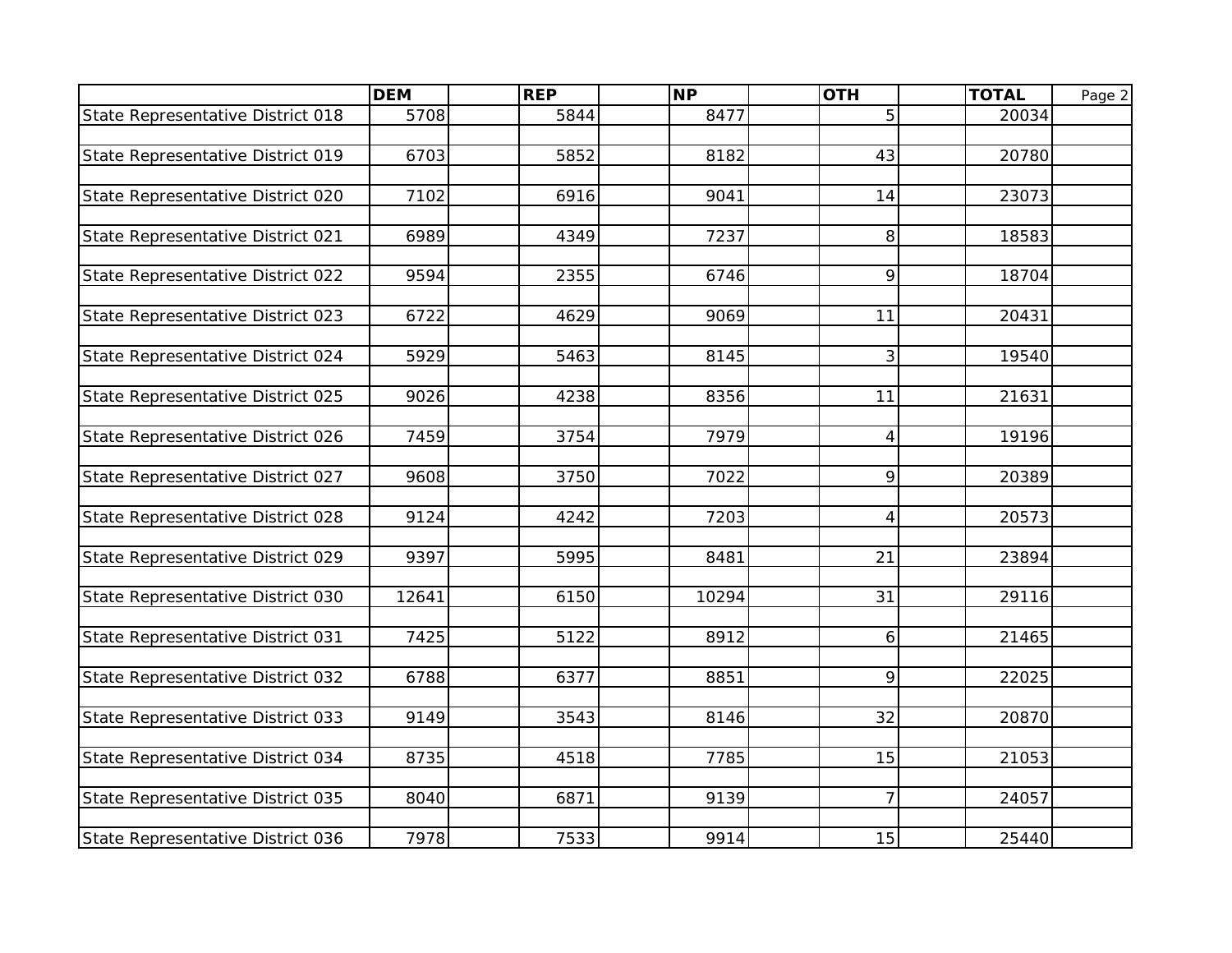|                                   | <b>DEM</b> | <b>REP</b> | <b>NP</b> | <b>OTH</b>     | <b>TOTAL</b> | Page 2 |
|-----------------------------------|------------|------------|-----------|----------------|--------------|--------|
| State Representative District 018 | 5708       | 5844       | 8477      | 5              | 20034        |        |
|                                   |            |            |           |                |              |        |
| State Representative District 019 | 6703       | 5852       | 8182      | 43             | 20780        |        |
|                                   |            |            |           |                |              |        |
| State Representative District 020 | 7102       | 6916       | 9041      | 14             | 23073        |        |
|                                   |            |            |           |                |              |        |
| State Representative District 021 | 6989       | 4349       | 7237      | 8              | 18583        |        |
|                                   | 9594       | 2355       | 6746      | 9              |              |        |
| State Representative District 022 |            |            |           |                | 18704        |        |
| State Representative District 023 | 6722       | 4629       | 9069      | 11             | 20431        |        |
|                                   |            |            |           |                |              |        |
| State Representative District 024 | 5929       | 5463       | 8145      | 3              | 19540        |        |
|                                   |            |            |           |                |              |        |
| State Representative District 025 | 9026       | 4238       | 8356      | 11             | 21631        |        |
|                                   |            |            |           |                |              |        |
| State Representative District 026 | 7459       | 3754       | 7979      | $\overline{4}$ | 19196        |        |
|                                   |            |            |           |                |              |        |
| State Representative District 027 | 9608       | 3750       | 7022      | 9              | 20389        |        |
| State Representative District 028 | 9124       | 4242       | 7203      | 4              | 20573        |        |
|                                   |            |            |           |                |              |        |
| State Representative District 029 | 9397       | 5995       | 8481      | 21             | 23894        |        |
|                                   |            |            |           |                |              |        |
| State Representative District 030 | 12641      | 6150       | 10294     | 31             | 29116        |        |
|                                   |            |            |           |                |              |        |
| State Representative District 031 | 7425       | 5122       | 8912      | 6              | 21465        |        |
|                                   |            |            |           |                |              |        |
| State Representative District 032 | 6788       | 6377       | 8851      | 9              | 22025        |        |
|                                   |            |            |           |                |              |        |
| State Representative District 033 | 9149       | 3543       | 8146      | 32             | 20870        |        |
| State Representative District 034 | 8735       | 4518       | 7785      | 15             | 21053        |        |
|                                   |            |            |           |                |              |        |
| State Representative District 035 | 8040       | 6871       | 9139      | $\overline{7}$ | 24057        |        |
|                                   |            |            |           |                |              |        |
| State Representative District 036 | 7978       | 7533       | 9914      | 15             | 25440        |        |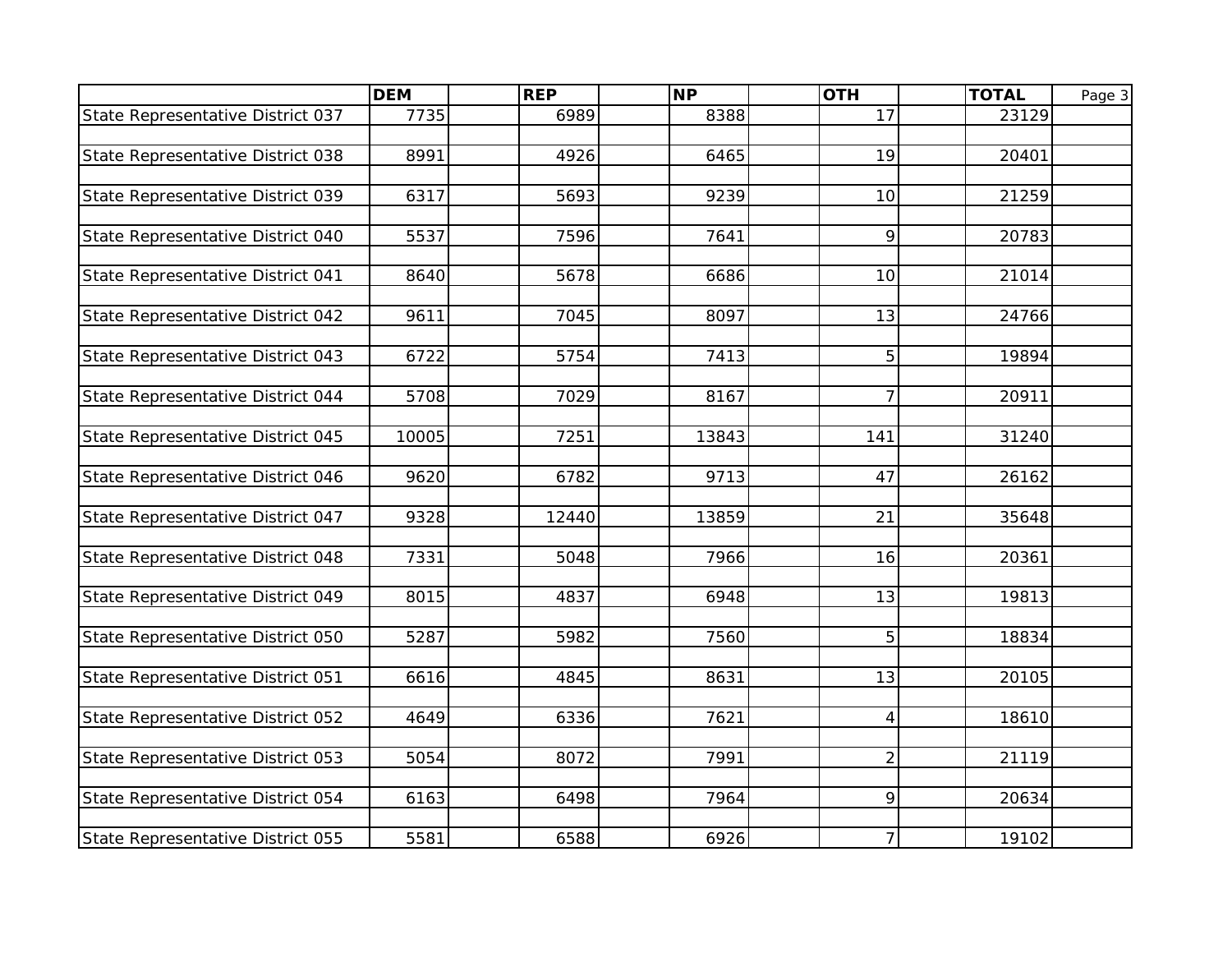|                                   | <b>DEM</b> | <b>REP</b> | <b>NP</b> | <b>OTH</b>     | <b>TOTAL</b> | Page 3 |
|-----------------------------------|------------|------------|-----------|----------------|--------------|--------|
| State Representative District 037 | 7735       | 6989       | 8388      | 17             | 23129        |        |
|                                   |            |            |           |                |              |        |
| State Representative District 038 | 8991       | 4926       | 6465      | 19             | 20401        |        |
|                                   |            |            |           |                |              |        |
| State Representative District 039 | 6317       | 5693       | 9239      | 10             | 21259        |        |
|                                   |            |            |           |                |              |        |
| State Representative District 040 | 5537       | 7596       | 7641      | 9              | 20783        |        |
|                                   |            |            |           |                |              |        |
| State Representative District 041 | 8640       | 5678       | 6686      | 10             | 21014        |        |
| State Representative District 042 | 9611       | 7045       | 8097      | 13             | 24766        |        |
|                                   |            |            |           |                |              |        |
| State Representative District 043 | 6722       | 5754       | 7413      | 5              | 19894        |        |
|                                   |            |            |           |                |              |        |
| State Representative District 044 | 5708       | 7029       | 8167      | $\overline{7}$ | 20911        |        |
|                                   |            |            |           |                |              |        |
| State Representative District 045 | 10005      | 7251       | 13843     | 141            | 31240        |        |
|                                   |            |            |           |                |              |        |
| State Representative District 046 | 9620       | 6782       | 9713      | 47             | 26162        |        |
|                                   |            |            |           |                |              |        |
| State Representative District 047 | 9328       | 12440      | 13859     | 21             | 35648        |        |
|                                   |            |            |           |                |              |        |
| State Representative District 048 | 7331       | 5048       | 7966      | 16             | 20361        |        |
| State Representative District 049 | 8015       | 4837       | 6948      | 13             | 19813        |        |
|                                   |            |            |           |                |              |        |
| State Representative District 050 | 5287       | 5982       | 7560      | 5              | 18834        |        |
|                                   |            |            |           |                |              |        |
| State Representative District 051 | 6616       | 4845       | 8631      | 13             | 20105        |        |
|                                   |            |            |           |                |              |        |
| State Representative District 052 | 4649       | 6336       | 7621      | $\overline{4}$ | 18610        |        |
|                                   |            |            |           |                |              |        |
| State Representative District 053 | 5054       | 8072       | 7991      | $\overline{2}$ | 21119        |        |
|                                   |            |            |           |                |              |        |
| State Representative District 054 | 6163       | 6498       | 7964      | 9              | 20634        |        |
|                                   |            |            |           |                |              |        |
| State Representative District 055 | 5581       | 6588       | 6926      | $\overline{7}$ | 19102        |        |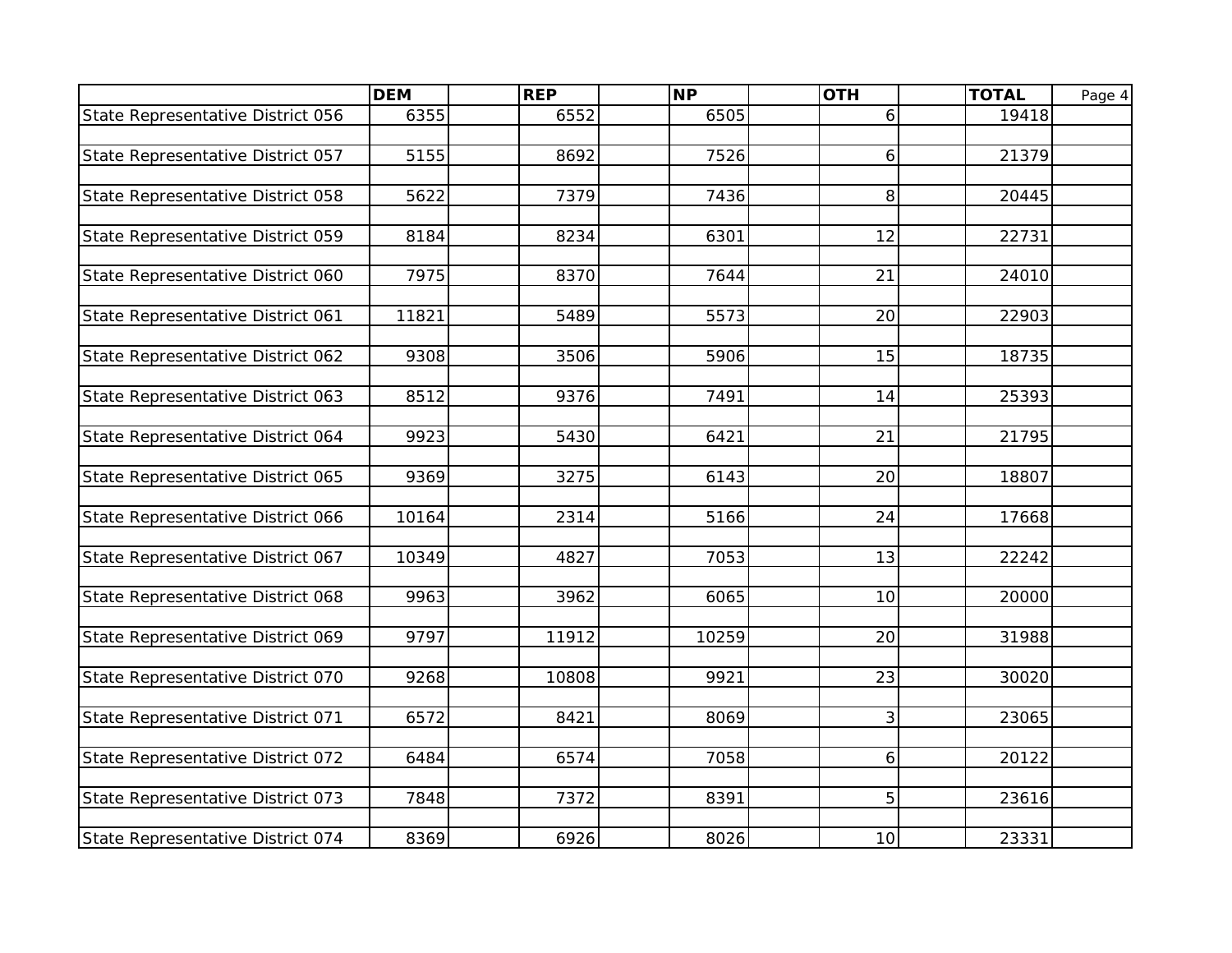|                                   | <b>DEM</b> | <b>REP</b> | $\overline{\mathsf{NP}}$ | <b>OTH</b> | <b>TOTAL</b> | Page 4 |
|-----------------------------------|------------|------------|--------------------------|------------|--------------|--------|
| State Representative District 056 | 6355       | 6552       | 6505                     | 6          | 19418        |        |
|                                   |            |            |                          |            |              |        |
| State Representative District 057 | 5155       | 8692       | 7526                     | 6          | 21379        |        |
|                                   |            |            |                          |            |              |        |
| State Representative District 058 | 5622       | 7379       | 7436                     | 8          | 20445        |        |
|                                   |            |            |                          |            |              |        |
| State Representative District 059 | 8184       | 8234       | 6301                     | 12         | 22731        |        |
|                                   |            |            |                          |            |              |        |
| State Representative District 060 | 7975       | 8370       | 7644                     | 21         | 24010        |        |
| State Representative District 061 | 11821      | 5489       | 5573                     | 20         | 22903        |        |
|                                   |            |            |                          |            |              |        |
| State Representative District 062 | 9308       | 3506       | 5906                     | 15         | 18735        |        |
|                                   |            |            |                          |            |              |        |
| State Representative District 063 | 8512       | 9376       | 7491                     | 14         | 25393        |        |
|                                   |            |            |                          |            |              |        |
| State Representative District 064 | 9923       | 5430       | 6421                     | 21         | 21795        |        |
|                                   |            |            |                          |            |              |        |
| State Representative District 065 | 9369       | 3275       | 6143                     | 20         | 18807        |        |
|                                   |            |            |                          |            |              |        |
| State Representative District 066 | 10164      | 2314       | 5166                     | 24         | 17668        |        |
| State Representative District 067 | 10349      | 4827       | 7053                     | 13         | 22242        |        |
|                                   |            |            |                          |            |              |        |
| State Representative District 068 | 9963       | 3962       | 6065                     | 10         | 20000        |        |
|                                   |            |            |                          |            |              |        |
| State Representative District 069 | 9797       | 11912      | 10259                    | 20         | 31988        |        |
|                                   |            |            |                          |            |              |        |
| State Representative District 070 | 9268       | 10808      | 9921                     | 23         | 30020        |        |
|                                   |            |            |                          |            |              |        |
| State Representative District 071 | 6572       | 8421       | 8069                     | 3          | 23065        |        |
|                                   |            |            |                          |            |              |        |
| State Representative District 072 | 6484       | 6574       | 7058                     | 6          | 20122        |        |
|                                   |            |            |                          | 5          |              |        |
| State Representative District 073 | 7848       | 7372       | 8391                     |            | 23616        |        |
| State Representative District 074 | 8369       | 6926       | 8026                     | 10         | 23331        |        |
|                                   |            |            |                          |            |              |        |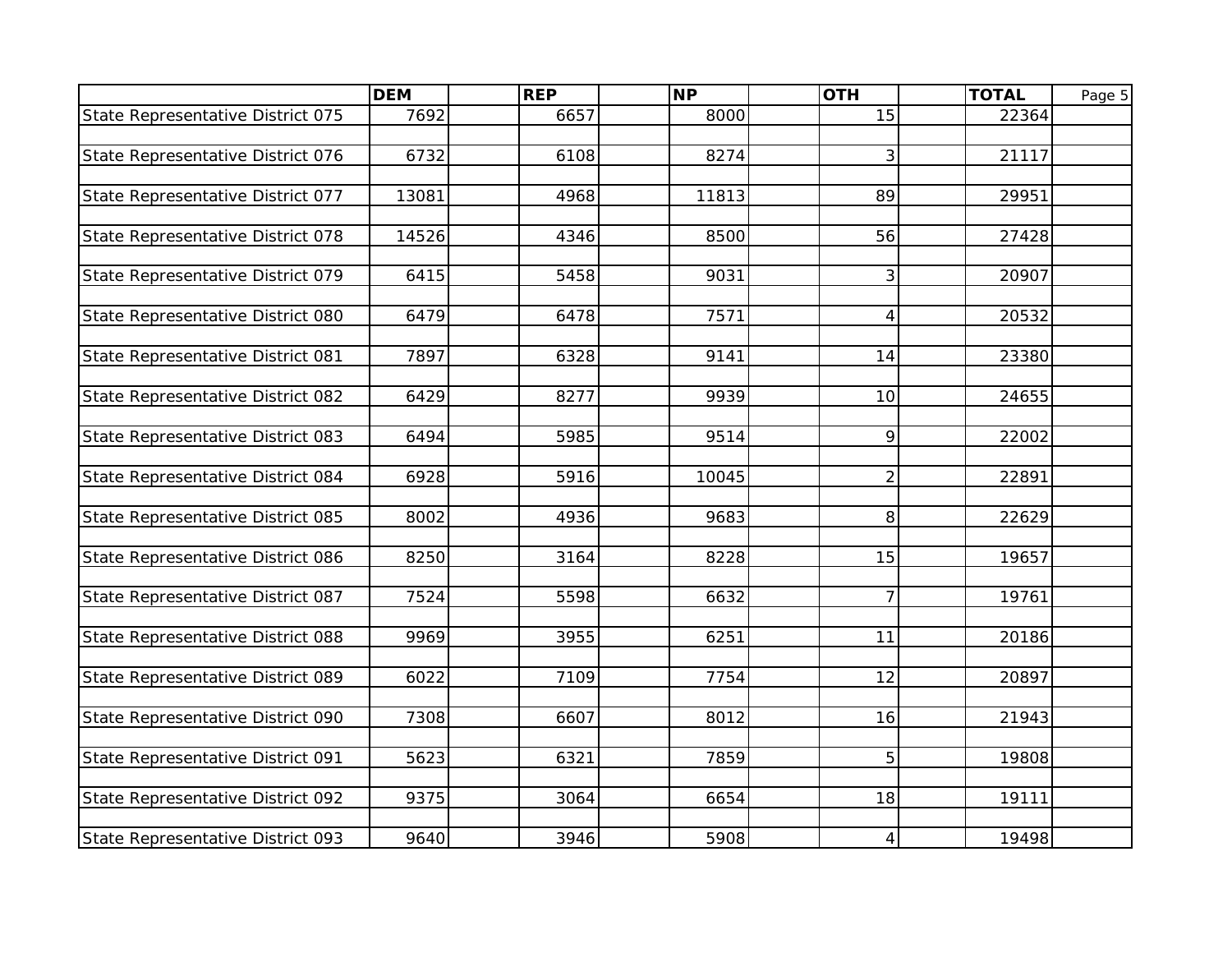|                                   | <b>DEM</b> | <b>REP</b> | $\overline{\mathsf{NP}}$ | <b>OTH</b>      | <b>TOTAL</b> | Page 5 |
|-----------------------------------|------------|------------|--------------------------|-----------------|--------------|--------|
| State Representative District 075 | 7692       | 6657       | 8000                     | 15              | 22364        |        |
|                                   |            |            |                          |                 |              |        |
| State Representative District 076 | 6732       | 6108       | 8274                     | 3               | 21117        |        |
|                                   |            |            |                          |                 |              |        |
| State Representative District 077 | 13081      | 4968       | 11813                    | 89              | 29951        |        |
|                                   |            |            |                          |                 |              |        |
| State Representative District 078 | 14526      | 4346       | 8500                     | 56              | 27428        |        |
|                                   |            |            |                          |                 |              |        |
| State Representative District 079 | 6415       | 5458       | 9031                     | 3               | 20907        |        |
|                                   |            |            |                          |                 |              |        |
| State Representative District 080 | 6479       | 6478       | 7571                     | $\overline{4}$  | 20532        |        |
|                                   |            |            |                          |                 |              |        |
| State Representative District 081 | 7897       | 6328       | 9141                     | 14              | 23380        |        |
| State Representative District 082 | 6429       | 8277       | 9939                     | 10 <sup>1</sup> | 24655        |        |
|                                   |            |            |                          |                 |              |        |
| State Representative District 083 | 6494       | 5985       | 9514                     | 9               | 22002        |        |
|                                   |            |            |                          |                 |              |        |
| State Representative District 084 | 6928       | 5916       | 10045                    | $\overline{2}$  | 22891        |        |
|                                   |            |            |                          |                 |              |        |
| State Representative District 085 | 8002       | 4936       | 9683                     | 8               | 22629        |        |
|                                   |            |            |                          |                 |              |        |
| State Representative District 086 | 8250       | 3164       | 8228                     | 15              | 19657        |        |
|                                   |            |            |                          |                 |              |        |
| State Representative District 087 | 7524       | 5598       | 6632                     | $\overline{7}$  | 19761        |        |
|                                   |            |            |                          |                 |              |        |
| State Representative District 088 | 9969       | 3955       | 6251                     | 11              | 20186        |        |
|                                   |            |            |                          |                 |              |        |
| State Representative District 089 | 6022       | 7109       | 7754                     | 12              | 20897        |        |
| State Representative District 090 | 7308       | 6607       | 8012                     | 16              | 21943        |        |
|                                   |            |            |                          |                 |              |        |
| State Representative District 091 | 5623       | 6321       | 7859                     | 5               | 19808        |        |
|                                   |            |            |                          |                 |              |        |
| State Representative District 092 | 9375       | 3064       | 6654                     | 18              | 19111        |        |
|                                   |            |            |                          |                 |              |        |
| State Representative District 093 | 9640       | 3946       | 5908                     | $\overline{4}$  | 19498        |        |